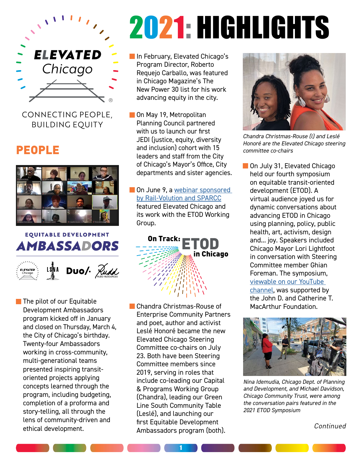

#### CONNECTING PEOPLE, BUILDING EQUITY

## PEOPLE



### **EQUITABLE DEVELOPMENT AMBASSADORS**  $Duo/·$  Rudd **VATED**

**The pilot of our Equitable** Development Ambassadors program kicked off in January and closed on Thursday, March 4, the City of Chicago's birthday. Twenty-four Ambassadors working in cross-community, multi-generational teams presented inspiring transitoriented projects applying concepts learned through the program, including budgeting, completion of a proforma and story-telling, all through the lens of community-driven and ethical development.

# 2021: HIGHLIGHTS

- **In February, Elevated Chicago's** Program Director, Roberto Requejo Carballo, was featured in Chicago Magazine's The New Power 30 list for his work advancing equity in the city.
- On May 19, Metropolitan Planning Council partnered with us to launch our first JEDI (justice, equity, diversity and inclusion) cohort with 15 leaders and staff from the City of Chicago's Mayor's Office, City departments and sister agencies.
- **On June 9, a webinar sponsored** [by Rail-Volution and SPARCC](https://railvolution.org/resources/webinars/) featured Elevated Chicago and its work with the ETOD Working Group.



**Chandra Christmas-Rouse of** Enterprise Community Partners and poet, author and activist Leslé Honoré became the new Elevated Chicago Steering Committee co-chairs on July 23. Both have been Steering Committee members since 2019, serving in roles that include co-leading our Capital & Programs Working Group (Chandra), leading our Green Line South Community Table (Leslé), and launching our first Equitable Development Ambassadors program (both).

1



*Chandra Christmas-Rouse (l) and Leslé Honoré are the Elevated Chicago steering committee co-chairs*

■ On July 31, Elevated Chicago held our fourth symposium on equitable transit-oriented development (ETOD). A virtual audience joyed us for dynamic conversations about advancing ETOD in Chicago using planning, policy, public health, art, activism, design and... joy. Speakers included Chicago Mayor Lori Lightfoot in conversation with Steering Committee member Ghian Foreman. The symposium, [viewable on our YouTube](https://www.youtube.com/elevatedchicagoetod)  [channel](https://www.youtube.com/elevatedchicagoetod), was supported by

the John D. and Catherine T. MacArthur Foundation.



*Nina Idemudia, Chicago Dept. of Planning and Development, and Michael Davidson, Chicago Community Trust, were among the conversation pairs featured in the 2021 ETOD Symposium*

Continued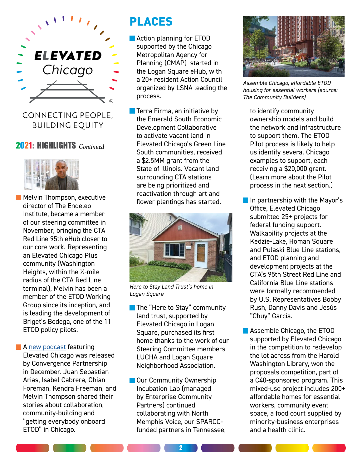

CONNECTING PEOPLE, BUILDING EQUITY

#### 2021: HIGHLIGHTS *Continued*



- **Melvin Thompson, executive** director of The Endeleo Institute, became a member of our steering committee in November, bringing the CTA Red Line 95th eHub closer to our core work. Representing an Elevated Chicago Plus community (Washington Heights, within the ½-mile radius of the CTA Red Line terminal), Melvin has been a member of the ETOD Working Group since its inception, and is leading the development of Briget's Bodega, one of the 11 ETOD policy pilots.
- **A [new podcast](https://www.convergencepartnership.org/podcast-series/getting-everyone-onboard-equitable-transit-chicago) featuring** Elevated Chicago was released by Convergence Partnership in December. Juan Sebastian Arias, Isabel Cabrera, Ghian Foreman, Kendra Freeman, and Melvin Thompson shared their stories about collaboration, community-building and "getting everybody onboard ETOD" in Chicago.

## PLACES

- **Action planning for ETOD** supported by the Chicago Metropolitan Agency for Planning (CMAP) started in the Logan Square eHub, with a 20+ resident Action Council organized by LSNA leading the process.
- **Terra Firma, an initiative by** the Emerald South Economic Development Collaborative to activate vacant land in Elevated Chicago's Green Line South communities, received a \$2.5MM grant from the State of Illinois. Vacant land surrounding CTA stations are being prioritized and reactivation through art and flower plantings has started.



*Here to Stay Land Trust's home in Logan Square*

- **The "Here to Stay" community** land trust, supported by Elevated Chicago in Logan Square, purchased its first home thanks to the work of our Steering Committee members LUCHA and Logan Square Neighborhood Association.
- **Our Community Ownership** Incubation Lab (managed by Enterprise Community Partners) continued collaborating with North Memphis Voice, our SPARCCfunded partners in Tennessee,



*Assemble Chicago, affordable ETOD housing for essential workers (source: The Community Builders)*

to identify community ownership models and build the network and infrastructure to support them. The ETOD Pilot process is likely to help us identify several Chicago examples to support, each receiving a \$20,000 grant. (Learn more about the Pilot process in the next section.)

- **In partnership with the Mayor's** Office, Elevated Chicago submitted 25+ projects for federal funding support. Walkability projects at the Kedzie-Lake, Homan Square and Pulaski Blue Line stations, and ETOD planning and development projects at the CTA's 95th Street Red Line and California Blue Line stations were formally recommended by U.S. Representatives Bobby Rush, Danny Davis and Jesús "Chuy" García.
- **Assemble Chicago, the ETOD** supported by Elevated Chicago in the competition to redevelop the lot across from the Harold Washington Library, won the proposals competition, part of a C40-sponsored program. This mixed-use project includes 200+ affordable homes for essential workers, community event space, a food court supplied by minority-business enterprises and a health clinic.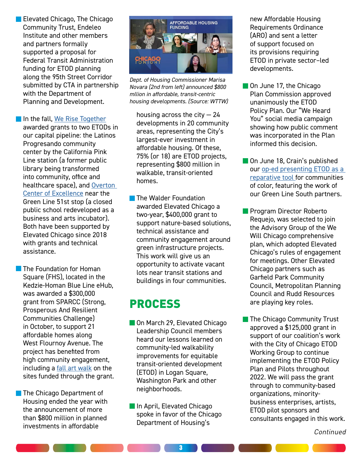**Elevated Chicago, The Chicago** Community Trust, Endeleo Institute and other members and partners formally supported a proposal for Federal Transit Administration funding for ETOD planning along the 95th Street Corridor submitted by CTA in partnership with the Department of Planning and Development.

In the fall, [We Rise Together](https://www.cct.org/werisetogether/)

awarded grants to two ETODs in our capital pipeline: the Latinos Progresando community center by the California Pink Line station (a former public library being transformed into community, office and healthcare space), and [Overton](https://www.borderless-studio.com/overton)  [Center of Excellence](https://www.borderless-studio.com/overton) near the Green Line 51st stop (a closed public school redeveloped as a business and arts incubator). Both have been supported by Elevated Chicago since 2018 with grants and technical assistance.

- **The Foundation for Homan** Square (FHS), located in the Kedzie-Homan Blue Line eHub, was awarded a \$300,000 grant from SPARCC (Strong, Prosperous And Resilient Communities Challenge) in October, to support 21 affordable homes along West Flournoy Avenue. The project has benefited from high community engagement, including a [fall art walk](https://www.instagram.com/p/CVA12UeLZ19/) on the sites funded through the grant.
- **The Chicago Department of** Housing ended the year with the announcement of more than \$800 million in planned investments in affordable



*Dept. of Housing Commissioner Marisa Novara (2nd from left) announced \$800 mllion in affordable, transit-centric housing developments. (Source: WTTW)* 

housing across the city  $-24$ developments in 20 community areas, representing the City's largest-ever investment in affordable housing. Of these, 75% (or 18) are ETOD projects, representing \$800 million in walkable, transit-oriented homes.

**The Walder Foundation** awarded Elevated Chicago a two-year, \$400,000 grant to support nature-based solutions, technical assistance and community engagement around green infrastructure projects. This work will give us an opportunity to activate vacant lots near transit stations and buildings in four communities.

## PROCESS

- On March 29, Elevated Chicago Leadership Council members heard our lessons learned on community-led walkability improvements for equitable transit-oriented development (ETOD) in Logan Square, Washington Park and other neighborhoods.
- **In April, Elevated Chicago** spoke in favor of the Chicago Department of Housing's

new Affordable Housing Requirements Ordinance (ARO) and sent a letter of support focused on its provisions requiring ETOD in private sector–led developments.

- On June 17, the Chicago Plan Commission approved unanimously the ETOD Policy Plan. Our "We Heard You" social media campaign showing how public comment was incorporated in the Plan informed this decision.
- **On June 18, Crain's published** our [op-ed presenting ETOD as a](https://www.chicagobusiness.com/equity/how-rebuild-neighborhoods-start-equitable-transit)  [reparative tool f](https://www.chicagobusiness.com/equity/how-rebuild-neighborhoods-start-equitable-transit)or communities of color, featuring the work of our Green Line South partners.
- **Program Director Roberto** Requejo, was selected to join the Advisory Group of the We Will Chicago comprehensive plan, which adopted Elevated Chicago's rules of engagement for meetings. Other Elevated Chicago partners such as Garfield Park Community Council, Metropolitan Planning Council and Rudd Resources are playing key roles.
- **The Chicago Community Trust** approved a \$125,000 grant in support of our coalition's work with the City of Chicago ETOD Working Group to continue implementing the ETOD Policy Plan and Pilots throughout 2022. We will pass the grant through to community-based organizations, minoritybusiness enterprises, artists, ETOD pilot sponsors and consultants engaged in this work.

Continued